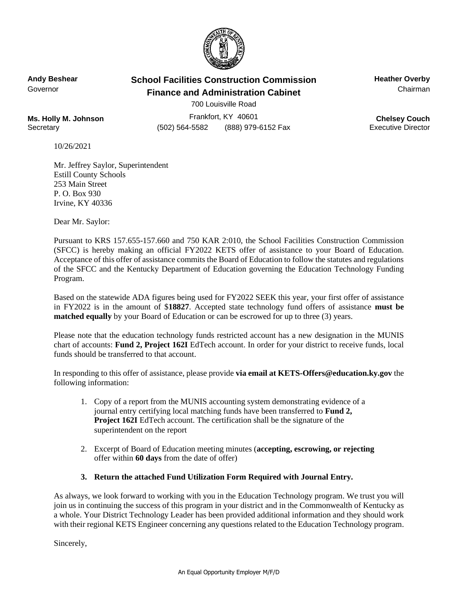

## **Andy Beshear School Facilities Construction Commission Heather Overby** Governor **Finance and Administration Cabinet** Chairman Chairman

700 Louisville Road

**Ms. Holly M. Johnson** Frankfort, KY 40601 **Ms. Holly M. Johnson Chelsey Couch**<br>Secretary **Chelsey Couch** (502) 564-5582 (888) 979-6152 Fax **Executive Director** Secretary (502) 564-5582 (888) 979-6152 Fax

10/26/2021

Mr. Jeffrey Saylor, Superintendent Estill County Schools 253 Main Street P. O. Box 930 Irvine, KY 40336

Dear Mr. Saylor:

Pursuant to KRS 157.655-157.660 and 750 KAR 2:010, the School Facilities Construction Commission (SFCC) is hereby making an official FY2022 KETS offer of assistance to your Board of Education. Acceptance of this offer of assistance commits the Board of Education to follow the statutes and regulations of the SFCC and the Kentucky Department of Education governing the Education Technology Funding Program.

Based on the statewide ADA figures being used for FY2022 SEEK this year, your first offer of assistance in FY2022 is in the amount of \$**18827**. Accepted state technology fund offers of assistance **must be matched equally** by your Board of Education or can be escrowed for up to three (3) years.

Please note that the education technology funds restricted account has a new designation in the MUNIS chart of accounts: **Fund 2, Project 162I** EdTech account. In order for your district to receive funds, local funds should be transferred to that account.

In responding to this offer of assistance, please provide **via email at KETS-Offers@education.ky.gov** the following information:

- 1. Copy of a report from the MUNIS accounting system demonstrating evidence of a journal entry certifying local matching funds have been transferred to **Fund 2, Project 162I** EdTech account. The certification shall be the signature of the superintendent on the report
- 2. Excerpt of Board of Education meeting minutes (**accepting, escrowing, or rejecting** offer within **60 days** from the date of offer)
- **3. Return the attached Fund Utilization Form Required with Journal Entry.**

As always, we look forward to working with you in the Education Technology program. We trust you will join us in continuing the success of this program in your district and in the Commonwealth of Kentucky as a whole. Your District Technology Leader has been provided additional information and they should work with their regional KETS Engineer concerning any questions related to the Education Technology program.

Sincerely,